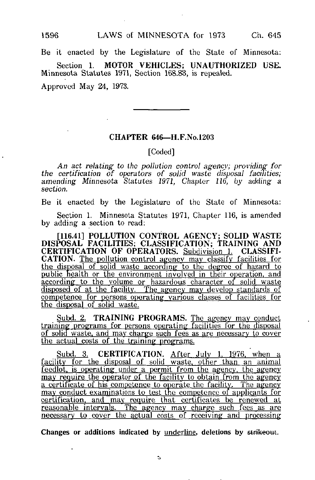1596 LAWS of MINNESOTA for 1973 Ch. 645

Be it enacted by the Legislature of the State of Minnesota:

Section 1. MOTOR VEHICLES; UNAUTHORIZED USE. Minnesota Statutes 1971, Minnesota Statutes 1971, Section 168.83, is repealed.

Approved May 24, 1973.

## CHAPTER 646—H.F.No.1203

## [Coded]

An act relating to the pollution control agency; providing for the certification of operators of solid waste disposal facilities; amending- Minnesota Statutes 1971, Chapter 116, by adding a section.

Be it enacted by the Legislature of the State of Minnesota:

Section 1. Minnesota Statutes 1971, Chapter 116, is amended by adding a section to read:

[116.41] POLLUTION CONTROL AGENCY; SOLID WASTE DISPOSAL FACILITIES; CLASSIFICATION; TRAINING AND CERTIFICATION OF OPERATORS. Subdivision 1. CLASSIFI-CATION. The pollution control agency may classify facilities for the disposal of solid waste according to the degree of hazard to public nealth or the environment involved in their operation, and according to the volume or hazardous character of solid waste disposed of at the facility. The agency may develop standards of competence for persons operating various classes of facilities for the disposal of solid waste.

Subd. 2. TRAINING PROGRAMS. The agency may conduct training programs for persons operating facilities for the disposal of solid waste, and may charge such fees as are necessary to cover the actual costs of the training programs.

<u>Subd. 3.</u> CERTIFICATION. <u>After July 1, 1976, when a</u> facility for the disposal of solid waste, other than an animal feedlot. is operating under a permit from the agency, the agency may require the operator of the facility to obtain from the agency a certificate of his competence to operate the facility. The agency may conduct examinations to test the competence of applicants for certification, and may require that certificates be renewed at reasonable intervals. The agency may charge such fees as arc necessary to cover the actual costs of receiving and processing

Changes or additions indicated by underline, deletions by strikeout.